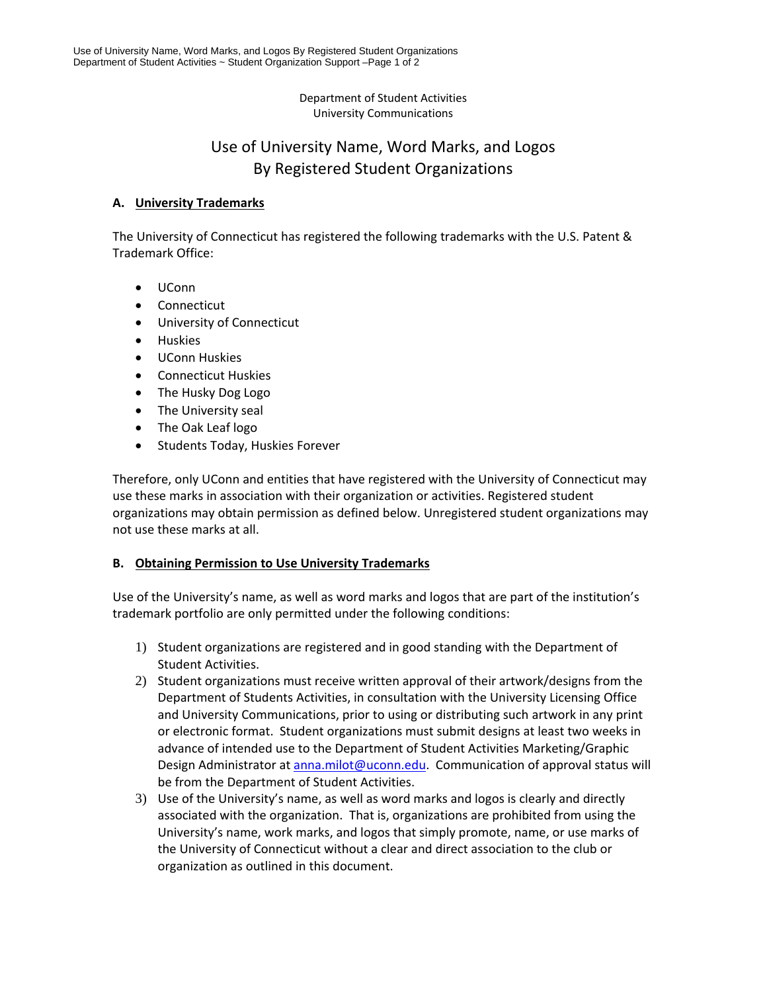#### Department of Student Activities University Communications

# Use of University Name, Word Marks, and Logos By Registered Student Organizations

## **A. University Trademarks**

The University of Connecticut has registered the following trademarks with the U.S. Patent & Trademark Office:

- UConn
- Connecticut
- University of Connecticut
- **•** Huskies
- UConn Huskies
- Connecticut Huskies
- The Husky Dog Logo
- The University seal
- The Oak Leaf logo
- Students Today, Huskies Forever

Therefore, only UConn and entities that have registered with the University of Connecticut may use these marks in association with their organization or activities. Registered student organizations may obtain permission as defined below. Unregistered student organizations may not use these marks at all.

#### **B. Obtaining Permission to Use University Trademarks**

Use of the University's name, as well as word marks and logos that are part of the institution's trademark portfolio are only permitted under the following conditions:

- 1) Student organizations are registered and in good standing with the Department of Student Activities.
- 2) Student organizations must receive written approval of their artwork/designs from the Department of Students Activities, in consultation with the University Licensing Office and University Communications, prior to using or distributing such artwork in any print or electronic format. Student organizations must submit designs at least two weeks in advance of intended use to the Department of Student Activities Marketing/Graphic Design Administrator at anna.milot@uconn.edu. Communication of approval status will be from the Department of Student Activities.
- 3) Use of the University's name, as well as word marks and logos is clearly and directly associated with the organization. That is, organizations are prohibited from using the University's name, work marks, and logos that simply promote, name, or use marks of the University of Connecticut without a clear and direct association to the club or organization as outlined in this document.